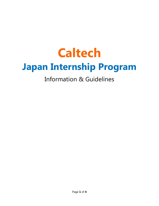# **Caltech Japan Internship Program**

## Information & Guidelines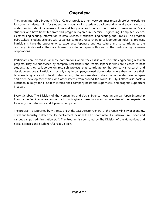#### **Overview**

The Japan Internship Program (JIP) at Caltech provides a ten-week summer research project experience for current students. JIP is for students with outstanding academic background, who already have basic understanding about Japanese culture and language, and has a strong desire to learn more. Many students who have benefited from this program majored in Chemical Engineering, Computer Science, Electrical Engineering, Information & Data Science, Mechanical Engineering, and Physics. The program pairs Caltech student-scholars with Japanese company researchers to collaborate on industrial projects. Participants have the opportunity to experience Japanese business culture and to contribute to the company. Additionally, they are housed on-site in Japan with one of the participating Japanese corporations.

Participants are placed in Japanese corporations where they assist with scientific engineering research projects. They are supervised by company researchers and teams. Japanese firms are pleased to host students as they collaborate on research projects that contribute to the company's research and development goals. Participants usually stay in company-owned dormitories where they improve their Japanese language and cultural understanding. Students are able to do some moderate travel in Japan and often develop friendships with other interns from around the world. In July, Caltech also hosts a luncheon in Tokyo for all Caltech interns, their company hosts and supervisors, and program supporters in Japan.

Every October, The Division of the Humanities and Social Science hosts an annual Japan Internship Information Seminar where former participants give a presentation and an overview of their experience to faculty, staff, students, and Japanese companies.

The program is supported by Mr. Tetsuo Nishide, past Director General of the Japan Ministry of Economy, Trade and Industry. Caltech faculty involvement includes the JIP Coordinator, Dr. Ritsuko Hirai-Toner, and various campus administration staff. The Program is sponsored by The Division of the Humanities and Social Sciences and Student Affairs at Caltech.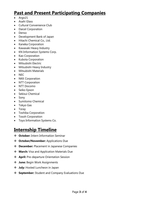### **Past and Present Participating Companies**

- Argo21
- Asahi Glass
- Cultural Convenience Club
- Daicel Corporation
- Denso
- Development Bank of Japan
- Hitachi Chemical Co., Ltd.
- Kaneka Corporation
- Kawasaki Heavy Industry
- KN Information Systems Corp.
- Kao Corporation
- Kubota Corporation
- Mitsubishi Electric
- Mitsubishi Heavy Industry
- Mitsubishi Materials
- $\bullet$  NEC
- NKK Corporation
- NTT Corporation
- NTT Docomo
- Seiko Epson
- Sekisui Chemical
- Sony
- Sumitomo Chemical
- Tokyo Gas
- Toray
- Toshiba Corporation
- Tosoh Corporation
- Toyo Information Systems Co.

#### **Internship Timeline**

- **October:** Intern Information Seminar
- **October/November:** Applications Due
- **December:** Placement in Japanese Companies
- **March:** Visa and Application Materials Due
- **April:** Pre-departure Orientation Session
- **June:** Begin Work Assignments
- $\cdot$  July: Hosted Luncheon in Japan
- **September:** Student and Company Evaluations Due